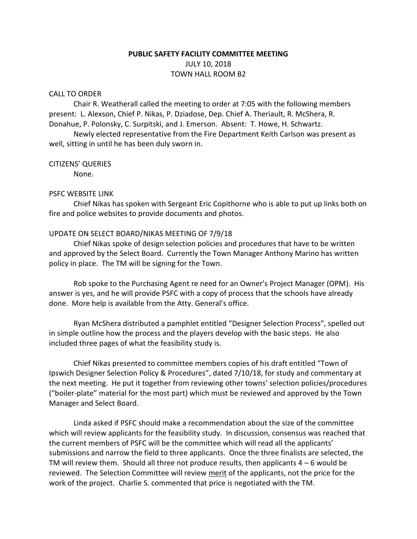# **PUBLIC SAFETY FACILITY COMMITTEE MEETING** JULY 10, 2018 TOWN HALL ROOM B2

## CALL TO ORDER

Chair R. Weatherall called the meeting to order at 7:05 with the following members present: L. Alexson, Chief P. Nikas, P. Dziadose, Dep. Chief A. Theriault, R. McShera, R. Donahue, P. Polonsky, C. Surpitski, and J. Emerson. Absent: T. Howe, H. Schwartz.

Newly elected representative from the Fire Department Keith Carlson was present as well, sitting in until he has been duly sworn in.

## CITIZENS' QUERIES

None.

### PSFC WEBSITE LINK

Chief Nikas has spoken with Sergeant Eric Copithorne who is able to put up links both on fire and police websites to provide documents and photos.

# UPDATE ON SELECT BOARD/NIKAS MEETING OF 7/9/18

Chief Nikas spoke of design selection policies and procedures that have to be written and approved by the Select Board. Currently the Town Manager Anthony Marino has written policy in place. The TM will be signing for the Town.

Rob spoke to the Purchasing Agent re need for an Owner's Project Manager (OPM). His answer is yes, and he will provide PSFC with a copy of process that the schools have already done. More help is available from the Atty. General's office.

Ryan McShera distributed a pamphlet entitled "Designer Selection Process", spelled out in simple outline how the process and the players develop with the basic steps. He also included three pages of what the feasibility study is.

Chief Nikas presented to committee members copies of his draft entitled "Town of Ipswich Designer Selection Policy & Procedures", dated 7/10/18, for study and commentary at the next meeting. He put it together from reviewing other towns' selection policies/procedures ("boiler-plate" material for the most part) which must be reviewed and approved by the Town Manager and Select Board.

Linda asked if PSFC should make a recommendation about the size of the committee which will review applicants for the feasibility study. In discussion, consensus was reached that the current members of PSFC will be the committee which will read all the applicants' submissions and narrow the field to three applicants. Once the three finalists are selected, the TM will review them. Should all three not produce results, then applicants  $4 - 6$  would be reviewed. The Selection Committee will review merit of the applicants, not the price for the work of the project. Charlie S. commented that price is negotiated with the TM.